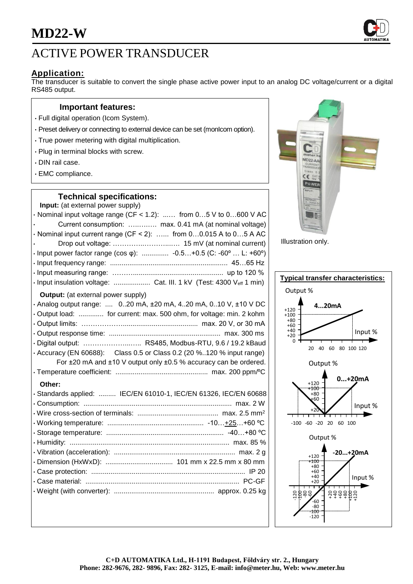## ACTIVE POWER TRANSDUCER

## **Application:**

The transducer is suitable to convert the single phase active power input to an analog DC voltage/current or a digital RS485 output.

#### **Important features:**

- Full digital operation (Icom System).
- Preset delivery or connecting to external device can be set (monIcom option).
- True power metering with digital multiplication.
- Plug in terminal blocks with screw.
- DIN rail case.
- EMC compliance.

## **Technical specifications:**

| Input: (at external power supply)                                           |
|-----------------------------------------------------------------------------|
| $\cdot$ Nominal input voltage range (CF < 1.2):  from 05 V to 0600 V AC     |
| Current consumption:  max. 0.41 mA (at nominal voltage)                     |
| $\cdot$ Nominal input current range (CF < 2):  from 00.015 A to 05 A AC     |
|                                                                             |
| • Input power factor range (cos $\varphi$ ):  -0.5+0.5 (C: -60°  L: +60°)   |
|                                                                             |
|                                                                             |
| · Input insulation voltage:  Cat. III. 1 kV (Test: 4300 Veff 1 min)         |
| <b>Output:</b> (at external power supply)                                   |
| . Analog output range: $0.20$ mA, $\pm 20$ mA, 420 mA, 010 V, $\pm 10$ V DC |
| · Output load:  for current: max. 500 ohm, for voltage: min. 2 kohm         |
|                                                                             |
|                                                                             |
| · Digital output:  RS485, Modbus-RTU, 9.6 / 19.2 kBaud                      |
| $\cdot$ Accuracy (EN 60688): Class 0.5 or Class 0.2 (20 %120 % input range) |
| For ±20 mA and ±10 V output only ±0.5 % accuracy can be ordered.            |
|                                                                             |
| Other:                                                                      |
| · Standards applied:  IEC/EN 61010-1, IEC/EN 61326, IEC/EN 60688            |
|                                                                             |
|                                                                             |
|                                                                             |
|                                                                             |
|                                                                             |
|                                                                             |
|                                                                             |
|                                                                             |
|                                                                             |
|                                                                             |
|                                                                             |



Illustration only.